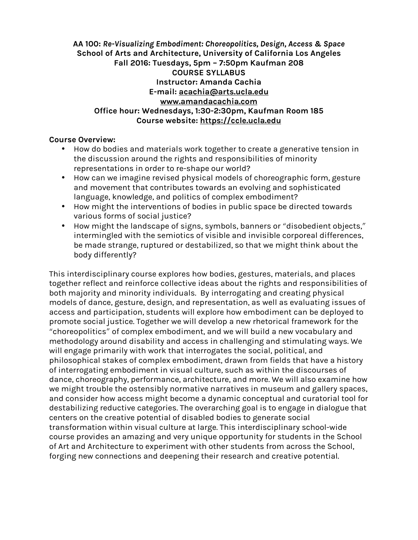**AA 100:** *Re-Visualizing Embodiment: Choreopolitics, Design, Access & Space* **School of Arts and Architecture, University of California Los Angeles Fall 2016: Tuesdays, 5pm – 7:50pm Kaufman 208 COURSE SYLLABUS Instructor: Amanda Cachia E-mail: acachia@arts.ucla.edu www.amandacachia.com Office hour: Wednesdays, 1:30-2:30pm, Kaufman Room 185 Course website: https://ccle.ucla.edu**

## **Course Overview:**

- How do bodies and materials work together to create a generative tension in the discussion around the rights and responsibilities of minority representations in order to re-shape our world?
- How can we imagine revised physical models of choreographic form, gesture and movement that contributes towards an evolving and sophisticated language, knowledge, and politics of complex embodiment?
- How might the interventions of bodies in public space be directed towards various forms of social justice?
- How might the landscape of signs, symbols, banners or "disobedient objects," intermingled with the semiotics of visible and invisible corporeal differences, be made strange, ruptured or destabilized, so that we might think about the body differently?

This interdisciplinary course explores how bodies, gestures, materials, and places together reflect and reinforce collective ideas about the rights and responsibilities of both majority and minority individuals. By interrogating and creating physical models of dance, gesture, design, and representation, as well as evaluating issues of access and participation, students will explore how embodiment can be deployed to promote social justice. Together we will develop a new rhetorical framework for the "choreopolitics" of complex embodiment, and we will build a new vocabulary and methodology around disability and access in challenging and stimulating ways. We will engage primarily with work that interrogates the social, political, and philosophical stakes of complex embodiment, drawn from fields that have a history of interrogating embodiment in visual culture, such as within the discourses of dance, choreography, performance, architecture, and more. We will also examine how we might trouble the ostensibly normative narratives in museum and gallery spaces, and consider how access might become a dynamic conceptual and curatorial tool for destabilizing reductive categories. The overarching goal is to engage in dialogue that centers on the creative potential of disabled bodies to generate social transformation within visual culture at large. This interdisciplinary school-wide course provides an amazing and very unique opportunity for students in the School of Art and Architecture to experiment with other students from across the School, forging new connections and deepening their research and creative potential.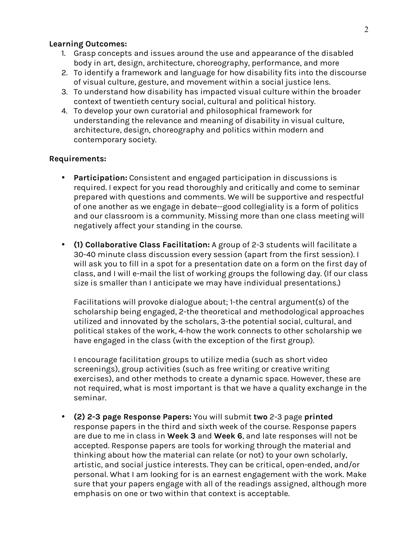#### **Learning Outcomes:**

- 1. Grasp concepts and issues around the use and appearance of the disabled body in art, design, architecture, choreography, performance, and more
- 2. To identify a framework and language for how disability fits into the discourse of visual culture, gesture, and movement within a social justice lens.
- 3. To understand how disability has impacted visual culture within the broader context of twentieth century social, cultural and political history.
- 4. To develop your own curatorial and philosophical framework for understanding the relevance and meaning of disability in visual culture, architecture, design, choreography and politics within modern and contemporary society.

### **Requirements:**

- **Participation:** Consistent and engaged participation in discussions is required. I expect for you read thoroughly and critically and come to seminar prepared with questions and comments. We will be supportive and respectful of one another as we engage in debate--good collegiality is a form of politics and our classroom is a community. Missing more than one class meeting will negatively affect your standing in the course.
- **(1) Collaborative Class Facilitation:** A group of 2-3 students will facilitate a 30-40 minute class discussion every session (apart from the first session). I will ask you to fill in a spot for a presentation date on a form on the first day of class, and I will e-mail the list of working groups the following day. (If our class size is smaller than I anticipate we may have individual presentations.)

Facilitations will provoke dialogue about; 1-the central argument(s) of the scholarship being engaged, 2-the theoretical and methodological approaches utilized and innovated by the scholars, 3-the potential social, cultural, and political stakes of the work, 4-how the work connects to other scholarship we have engaged in the class (with the exception of the first group).

I encourage facilitation groups to utilize media (such as short video screenings), group activities (such as free writing or creative writing exercises), and other methods to create a dynamic space. However, these are not required, what is most important is that we have a quality exchange in the seminar.

• **(2) 2-3 page Response Papers:** You will submit **two** 2-3 page **printed** response papers in the third and sixth week of the course. Response papers are due to me in class in **Week 3** and **Week 6**, and late responses will not be accepted. Response papers are tools for working through the material and thinking about how the material can relate (or not) to your own scholarly, artistic, and social justice interests. They can be critical, open-ended, and/or personal. What I am looking for is an earnest engagement with the work. Make sure that your papers engage with all of the readings assigned, although more emphasis on one or two within that context is acceptable.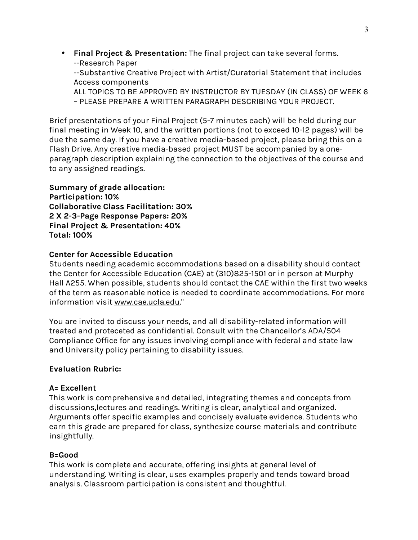• **Final Project & Presentation:** The final project can take several forms. --Research Paper

--Substantive Creative Project with Artist/Curatorial Statement that includes Access components

ALL TOPICS TO BE APPROVED BY INSTRUCTOR BY TUESDAY (IN CLASS) OF WEEK 6 – PLEASE PREPARE A WRITTEN PARAGRAPH DESCRIBING YOUR PROJECT.

Brief presentations of your Final Project (5-7 minutes each) will be held during our final meeting in Week 10, and the written portions (not to exceed 10-12 pages) will be due the same day. If you have a creative media-based project, please bring this on a Flash Drive. Any creative media-based project MUST be accompanied by a oneparagraph description explaining the connection to the objectives of the course and to any assigned readings.

## **Summary of grade allocation:**

**Participation: 10% Collaborative Class Facilitation: 30% 2 X 2-3-Page Response Papers: 20% Final Project & Presentation: 40% Total: 100%**

## **Center for Accessible Education**

Students needing academic accommodations based on a disability should contact the Center for Accessible Education (CAE) at (310)825-1501 or in person at Murphy Hall A255. When possible, students should contact the CAE within the first two weeks of the term as reasonable notice is needed to coordinate accommodations. For more information visit www.cae.ucla.edu."

You are invited to discuss your needs, and all disability-related information will treated and proteceted as confidential. Consult with the Chancellor's ADA/504 Compliance Office for any issues involving compliance with federal and state law and University policy pertaining to disability issues.

## **Evaluation Rubric:**

## **A= Excellent**

This work is comprehensive and detailed, integrating themes and concepts from discussions,lectures and readings. Writing is clear, analytical and organized. Arguments offer specific examples and concisely evaluate evidence. Students who earn this grade are prepared for class, synthesize course materials and contribute insightfully.

## **B=Good**

This work is complete and accurate, offering insights at general level of understanding. Writing is clear, uses examples properly and tends toward broad analysis. Classroom participation is consistent and thoughtful.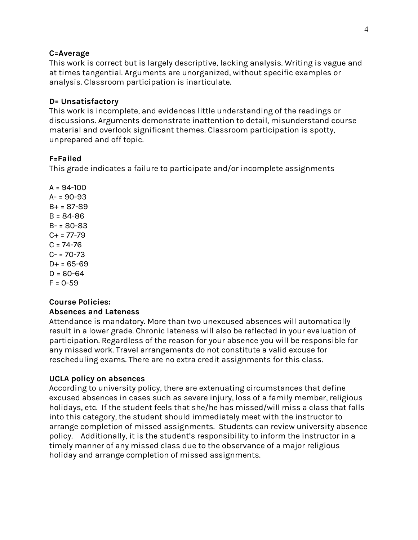### **C=Average**

This work is correct but is largely descriptive, lacking analysis. Writing is vague and at times tangential. Arguments are unorganized, without specific examples or analysis. Classroom participation is inarticulate.

#### **D= Unsatisfactory**

This work is incomplete, and evidences little understanding of the readings or discussions. Arguments demonstrate inattention to detail, misunderstand course material and overlook significant themes. Classroom participation is spotty, unprepared and off topic.

#### **F=Failed**

This grade indicates a failure to participate and/or incomplete assignments

 $A = 94 - 100$  $A - 90 - 93$ B+ = 87-89 B = 84-86 B- = 80-83  $C_{+}$  = 77-79  $C = 74 - 76$  $C - 70 - 73$  $D+ = 65-69$  $D = 60 - 64$  $F = 0-59$ 

#### **Course Policies: Absences and Lateness**

Attendance is mandatory. More than two unexcused absences will automatically result in a lower grade. Chronic lateness will also be reflected in your evaluation of participation. Regardless of the reason for your absence you will be responsible for any missed work. Travel arrangements do not constitute a valid excuse for rescheduling exams. There are no extra credit assignments for this class.

### **UCLA policy on absences**

According to university policy, there are extenuating circumstances that define excused absences in cases such as severe injury, loss of a family member, religious holidays, etc. If the student feels that she/he has missed/will miss a class that falls into this category, the student should immediately meet with the instructor to arrange completion of missed assignments. Students can review university absence policy. Additionally, it is the student's responsibility to inform the instructor in a timely manner of any missed class due to the observance of a major religious holiday and arrange completion of missed assignments.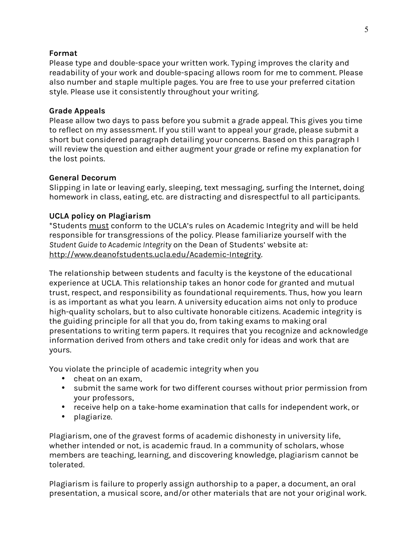## **Format**

Please type and double-space your written work. Typing improves the clarity and readability of your work and double-spacing allows room for me to comment. Please also number and staple multiple pages. You are free to use your preferred citation style. Please use it consistently throughout your writing.

## **Grade Appeals**

Please allow two days to pass before you submit a grade appeal. This gives you time to reflect on my assessment. If you still want to appeal your grade, please submit a short but considered paragraph detailing your concerns. Based on this paragraph I will review the question and either augment your grade or refine my explanation for the lost points.

## **General Decorum**

Slipping in late or leaving early, sleeping, text messaging, surfing the Internet, doing homework in class, eating, etc. are distracting and disrespectful to all participants.

## **UCLA policy on Plagiarism**

\*Students must conform to the UCLA's rules on Academic Integrity and will be held responsible for transgressions of the policy. Please familiarize yourself with the *Student Guide to Academic Integrity* on the Dean of Students' website at: http://www.deanofstudents.ucla.edu/Academic-Integrity.

The relationship between students and faculty is the keystone of the educational experience at UCLA. This relationship takes an honor code for granted and mutual trust, respect, and responsibility as foundational requirements. Thus, how you learn is as important as what you learn. A university education aims not only to produce high-quality scholars, but to also cultivate honorable citizens. Academic integrity is the guiding principle for all that you do, from taking exams to making oral presentations to writing term papers. It requires that you recognize and acknowledge information derived from others and take credit only for ideas and work that are yours.

You violate the principle of academic integrity when you

- cheat on an exam,
- submit the same work for two different courses without prior permission from your professors,
- receive help on a take-home examination that calls for independent work, or
- plagiarize.

Plagiarism, one of the gravest forms of academic dishonesty in university life, whether intended or not, is academic fraud. In a community of scholars, whose members are teaching, learning, and discovering knowledge, plagiarism cannot be tolerated.

Plagiarism is failure to properly assign authorship to a paper, a document, an oral presentation, a musical score, and/or other materials that are not your original work.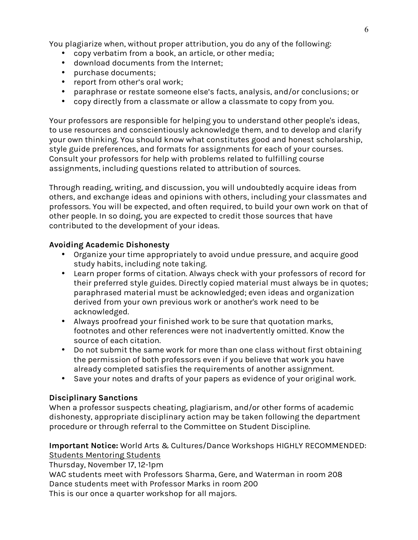You plagiarize when, without proper attribution, you do any of the following:

- copy verbatim from a book, an article, or other media;
- download documents from the Internet;
- purchase documents;
- report from other's oral work;
- paraphrase or restate someone else's facts, analysis, and/or conclusions; or
- copy directly from a classmate or allow a classmate to copy from you.

Your professors are responsible for helping you to understand other people's ideas, to use resources and conscientiously acknowledge them, and to develop and clarify your own thinking. You should know what constitutes good and honest scholarship, style guide preferences, and formats for assignments for each of your courses. Consult your professors for help with problems related to fulfilling course assignments, including questions related to attribution of sources.

Through reading, writing, and discussion, you will undoubtedly acquire ideas from others, and exchange ideas and opinions with others, including your classmates and professors. You will be expected, and often required, to build your own work on that of other people. In so doing, you are expected to credit those sources that have contributed to the development of your ideas.

## **Avoiding Academic Dishonesty**

- Organize your time appropriately to avoid undue pressure, and acquire good study habits, including note taking.
- Learn proper forms of citation. Always check with your professors of record for their preferred style guides. Directly copied material must always be in quotes; paraphrased material must be acknowledged; even ideas and organization derived from your own previous work or another's work need to be acknowledged.
- Always proofread your finished work to be sure that quotation marks, footnotes and other references were not inadvertently omitted. Know the source of each citation.
- Do not submit the same work for more than one class without first obtaining the permission of both professors even if you believe that work you have already completed satisfies the requirements of another assignment.
- Save your notes and drafts of your papers as evidence of your original work.

## **Disciplinary Sanctions**

When a professor suspects cheating, plagiarism, and/or other forms of academic dishonesty, appropriate disciplinary action may be taken following the department procedure or through referral to the Committee on Student Discipline.

**Important Notice:** World Arts & Cultures/Dance Workshops HIGHLY RECOMMENDED: Students Mentoring Students

Thursday, November 17, 12-1pm

WAC students meet with Professors Sharma, Gere, and Waterman in room 208 Dance students meet with Professor Marks in room 200 This is our once a quarter workshop for all majors.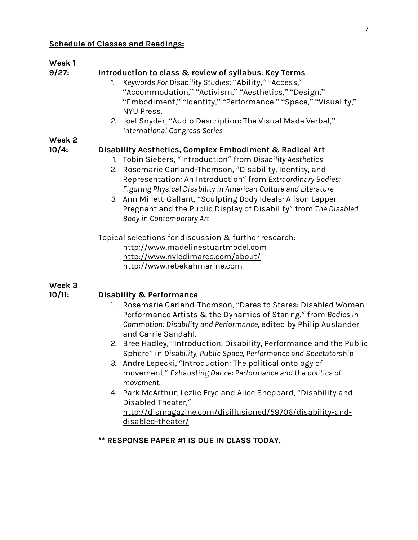#### **Schedule of Classes and Readings:**

## **Week 1**

#### **9/27: Introduction to class & review of syllabus**: **Key Terms**

- *1. Keywords For Disability Studies*: "Ability," "Access," "Accommodation," "Activism," "Aesthetics," "Design," "Embodiment," "Identity," "Performance," "Space," "Visuality," NYU Press.
- *2.* Joel Snyder, "Audio Description: The Visual Made Verbal," *International Congress Series*

## **Week 2**

## **10/4: Disability Aesthetics, Complex Embodiment & Radical Art**

- 1. Tobin Siebers, "Introduction" from *Disability Aesthetics*
- 2. Rosemarie Garland-Thomson, "Disability, Identity, and Representation: An Introduction" from *Extraordinary Bodies: Figuring Physical Disability in American Culture and Literature*
- *3.* Ann Millett-Gallant, "Sculpting Body Ideals: Alison Lapper Pregnant and the Public Display of Disability" from *The Disabled Body in Contemporary Art*

Topical selections for discussion & further research: http://www.madelinestuartmodel.com http://www.nyledimarco.com/about/ http://www.rebekahmarine.com

#### **Week 3**

#### **10/11: Disability & Performance**

- 1. Rosemarie Garland-Thomson, "Dares to Stares: Disabled Women Performance Artists & the Dynamics of Staring," from *Bodies in Commotion: Disability and Performance*, edited by Philip Auslander and Carrie Sandahl.
- 2. Bree Hadley, "Introduction: Disability, Performance and the Public Sphere" in *Disability, Public Space, Performance and Spectatorship*
- *3.* Andre Lepecki, "Introduction: The political ontology of movement." *Exhausting Dance: Performance and the politics of movement.*
- 4. Park McArthur, Lezlie Frye and Alice Sheppard, "Disability and Disabled Theater," http://dismagazine.com/disillusioned/59706/disability-anddisabled-theater/

## **\*\* RESPONSE PAPER #1 IS DUE IN CLASS TODAY.**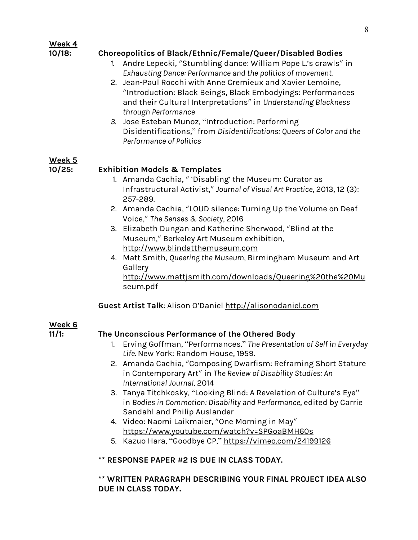## **Week 4**

## **10/18: Choreopolitics of Black/Ethnic/Female/Queer/Disabled Bodies**

- *1.* Andre Lepecki, "Stumbling dance: William Pope L.'s crawls" in *Exhausting Dance: Performance and the politics of movement.*
- 2. Jean-Paul Rocchi with Anne Cremieux and Xavier Lemoine, "Introduction: Black Beings, Black Embodyings: Performances and their Cultural Interpretations" in *Understanding Blackness through Performance*
- *3.* Jose Esteban Munoz, "Introduction: Performing Disidentifications," from *Disidentifications: Queers of Color and the Performance of Politics*

## **Week 5**

## **10/25: Exhibition Models & Templates**

- 1. Amanda Cachia, " 'Disabling' the Museum: Curator as Infrastructural Activist," *Journal of Visual Art Practice*, 2013, 12 (3): 257-289.
- 2. Amanda Cachia, "LOUD silence: Turning Up the Volume on Deaf Voice," *The Senses & Society*, 2016
- 3. Elizabeth Dungan and Katherine Sherwood, "Blind at the Museum," Berkeley Art Museum exhibition, http://www.blindatthemuseum.com
- 4. Matt Smith, *Queering the Museum*, Birmingham Museum and Art Gallery

http://www.mattjsmith.com/downloads/Queering%20the%20Mu seum.pdf

**Guest Artist Talk**: Alison O'Daniel http://alisonodaniel.com

## **Week 6**

## **11/1: The Unconscious Performance of the Othered Body**

- 1. Erving Goffman, "Performances." *The Presentation of Self in Everyday Life.* New York: Random House, 1959.
- 2. Amanda Cachia, "Composing Dwarfism: Reframing Short Stature in Contemporary Art" in *The Review of Disability Studies: An International Journal,* 2014
- 3. Tanya Titchkosky, "Looking Blind: A Revelation of Culture's Eye" in *Bodies in Commotion: Disability and Performance*, edited by Carrie Sandahl and Philip Auslander
- 4. Video: Naomi Laikmaier, "One Morning in May" https://www.youtube.com/watch?v=SPGoaBMH60s
- 5. Kazuo Hara, "Goodbye CP," https://vimeo.com/24199126

### **\*\* RESPONSE PAPER #2 IS DUE IN CLASS TODAY.**

## **\*\* WRITTEN PARAGRAPH DESCRIBING YOUR FINAL PROJECT IDEA ALSO DUE IN CLASS TODAY.**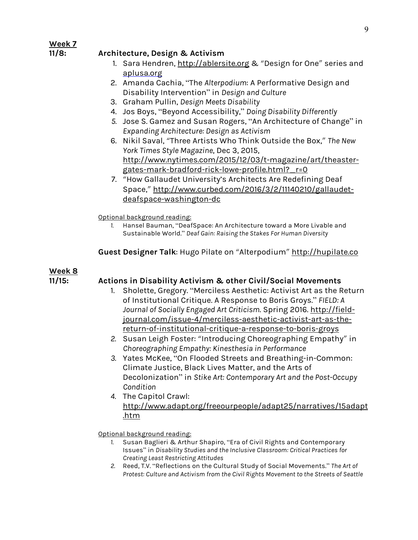## **Week 7**

## **11/8: Architecture, Design & Activism**

- 1. Sara Hendren, http://ablersite.org & "Design for One" series and aplusa.org
- 2. Amanda Cachia, "The *Alterpodium*: A Performative Design and Disability Intervention" in *Design and Culture*
- 3. Graham Pullin, *Design Meets Disability*
- 4. Jos Boys, "Beyond Accessibility," *Doing Disability Differently*
- *5.* Jose S. Gamez and Susan Rogers, "An Architecture of Change" in *Expanding Architecture: Design as Activism*
- 6. Nikil Saval, "Three Artists Who Think Outside the Box," *The New York Times Style Magazine*, Dec 3, 2015, http://www.nytimes.com/2015/12/03/t-magazine/art/theastergates-mark-bradford-rick-lowe-profile.html?\_r=0
- 7. "How Gallaudet University's Architects Are Redefining Deaf Space," http://www.curbed.com/2016/3/2/11140210/gallaudetdeafspace-washington-dc

Optional background reading:

*1.* Hansel Bauman, "DeafSpace: An Architecture toward a More Livable and Sustainable World." *Deaf Gain: Raising the Stakes For Human Diversity*

## **Guest Designer Talk**: Hugo Pilate on "Alterpodium" http://hupilate.co

## **Week 8**

## **11/15: Actions in Disability Activism & other Civil/Social Movements**

- 1. Sholette, Gregory. "Merciless Aesthetic: Activist Art as the Return of Institutional Critique. A Response to Boris Groys." *FIELD: A Journal of Socially Engaged Art Criticism*. Spring 2016. http://fieldjournal.com/issue-4/merciless-aesthetic-activist-art-as-thereturn-of-institutional-critique-a-response-to-boris-groys
- *2.* Susan Leigh Foster: "Introducing Choreographing Empathy" in *Choreographing Empathy: Kinesthesia in Performance*
- *3.* Yates McKee, "On Flooded Streets and Breathing-in-Common: Climate Justice, Black Lives Matter, and the Arts of Decolonization" in *Stike Art: Contemporary Art and the Post-Occupy Condition*
- *4.* The Capitol Crawl: http://www.adapt.org/freeourpeople/adapt25/narratives/15adapt .htm

Optional background reading:

- *1.* Susan Baglieri & Arthur Shapiro, "Era of Civil Rights and Contemporary Issues" in *Disability Studies and the Inclusive Classroom: Critical Practices for Creating Least Restricting Attitudes*
- *2.* Reed, T.V. "Reflections on the Cultural Study of Social Movements." *The Art of Protest: Culture and Activism from the Civil Rights Movement to the Streets of Seattle*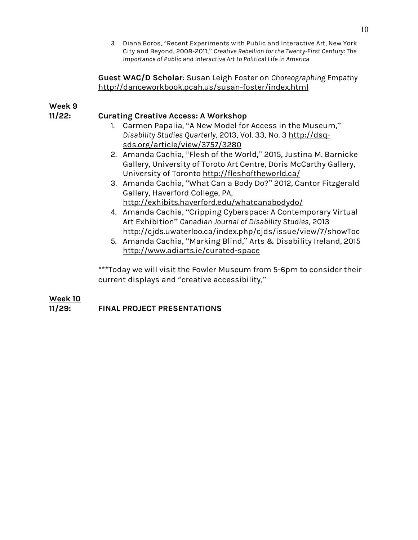*3.* Diana Boros, "Recent Experiments with Public and Interactive Art, New York City and Beyond, 2008-2011," *Creative Rebellion for the Twenty-First Century: The Importance of Public and Interactive Art to Political Life in America*

**Guest WAC/D Scholar**: Susan Leigh Foster on *Choreographing Empathy* http://danceworkbook.pcah.us/susan-foster/index.html

# **Week 9**

## **11/22: Curating Creative Access: A Workshop**

- 1. Carmen Papalia, "A New Model for Access in the Museum," *Disability Studies Quarterly*, 2013, Vol. 33, No. 3 http://dsqsds.org/article/view/3757/3280
- 2. Amanda Cachia, "Flesh of the World," 2015, Justina M. Barnicke Gallery, University of Toroto Art Centre, Doris McCarthy Gallery, University of Toronto http://fleshoftheworld.ca/
- 3. Amanda Cachia, "What Can a Body Do?" 2012, Cantor Fitzgerald Gallery, Haverford College, PA, http://exhibits.haverford.edu/whatcanabodydo/
- 4. Amanda Cachia, "Cripping Cyberspace: A Contemporary Virtual Art Exhibition" *Canadian Journal of Disability Studies*, 2013 http://cjds.uwaterloo.ca/index.php/cjds/issue/view/7/showToc
- 5. Amanda Cachia, "Marking Blind," Arts & Disability Ireland, 2015 http://www.adiarts.ie/curated-space

\*\*\*Today we will visit the Fowler Museum from 5-6pm to consider their current displays and "creative accessibility,"

## **Week 10 11/29: FINAL PROJECT PRESENTATIONS**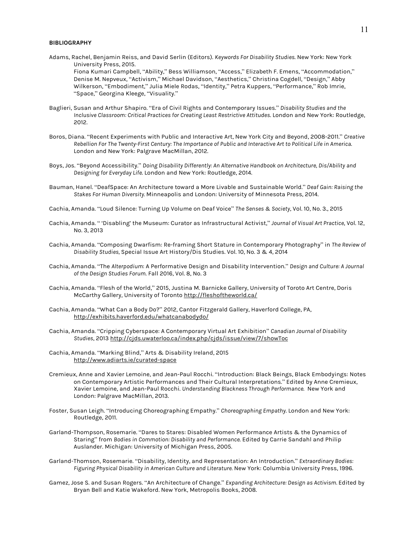#### **BIBLIOGRAPHY**

- Adams, Rachel, Benjamin Reiss, and David Serlin (Editors). *Keywords For Disability Studies*. New York: New York University Press, 2015. Fiona Kumari Campbell, "Ability," Bess Williamson, "Access," Elizabeth F. Emens, "Accommodation," Denise M. Nepveux, "Activism," Michael Davidson, "Aesthetics," Christina Cogdell, "Design," Abby Wilkerson, "Embodiment," Julia Miele Rodas, "Identity," Petra Kuppers, "Performance," Rob Imrie, "Space," Georgina Kleege, "Visuality."
- Baglieri, Susan and Arthur Shapiro. "Era of Civil Rights and Contemporary Issues." *Disability Studies and the Inclusive Classroom: Critical Practices for Creating Least Restrictive Attitudes*. London and New York: Routledge, 2012.
- Boros, Diana. "Recent Experiments with Public and Interactive Art, New York City and Beyond, 2008-2011." *Creative* Rebellion For The Twenty-First Century: The Importance of Public and Interactive Art to Political Life in America. London and New York: Palgrave MacMillan, 2012.
- Boys, Jos. "Beyond Accessibility." *Doing Disability Differently: An Alternative Handbook on Architecture, Dis/Ability and Designing for Everyday Life*. London and New York: Routledge, 2014.
- Bauman, Hanel. "DeafSpace: An Architecture toward a More Livable and Sustainable World." *Deaf Gain: Raising the Stakes For Human Diversity.* Minneapolis and London: University of Minnesota Press, 2014.
- Cachia, Amanda. "Loud Silence: Turning Up Volume on Deaf Voice" *The Senses & Society*, Vol. 10, No. 3., 2015
- Cachia, Amanda. " 'Disabling' the Museum: Curator as Infrastructural Activist," *Journal of Visual Art Practice*, Vol. 12, No. 3, 2013
- Cachia, Amanda. "Composing Dwarfism: Re-framing Short Stature in Contemporary Photography" in *The Review of Disability Studies,* Special Issue Art History/Dis Studies. Vol. 10, No. 3 & 4, 2014
- Cachia, Amanda. "The *Alterpodium*: A Performative Design and Disability Intervention." *Design and Culture: A Journal of the Design Studies Forum*. Fall 2016, Vol. 8, No. 3
- Cachia, Amanda. "Flesh of the World," 2015, Justina M. Barnicke Gallery, University of Toroto Art Centre, Doris McCarthy Gallery, University of Toronto http://fleshoftheworld.ca/
- Cachia, Amanda. "What Can a Body Do?" 2012, Cantor Fitzgerald Gallery, Haverford College, PA, http://exhibits.haverford.edu/whatcanabodydo/
- Cachia, Amanda. "Cripping Cyberspace: A Contemporary Virtual Art Exhibition" *Canadian Journal of Disability Studies*, 2013 http://cjds.uwaterloo.ca/index.php/cjds/issue/view/7/showToc
- Cachia, Amanda. "Marking Blind," Arts & Disability Ireland, 2015 http://www.adiarts.ie/curated-space
- Cremieux, Anne and Xavier Lemoine, and Jean-Paul Rocchi. "Introduction: Black Beings, Black Embodyings: Notes on Contemporary Artistic Performances and Their Cultural Interpretations." Edited by Anne Cremieux, Xavier Lemoine, and Jean-Paul Rocchi. *Understanding Blackness Through Performance*. New York and London: Palgrave MacMillan, 2013.
- Foster, Susan Leigh. "Introducing Choreographing Empathy." *Choreographing Empathy*. London and New York: Routledge, 2011.
- Garland-Thompson, Rosemarie. "Dares to Stares: Disabled Women Performance Artists & the Dynamics of Staring" from *Bodies in Commotion: Disability and Performance*. Edited by Carrie Sandahl and Philip Auslander. Michigan: University of Michigan Press, 2005.
- Garland-Thomson, Rosemarie. "Disability, Identity, and Representation: An Introduction." *Extraordinary Bodies: Figuring Physical Disability in American Culture and Literature.* New York: Columbia University Press, 1996.
- Gamez, Jose S. and Susan Rogers. "An Architecture of Change." *Expanding Architecture: Design as Activism.* Edited by Bryan Bell and Katie Wakeford. New York, Metropolis Books, 2008.